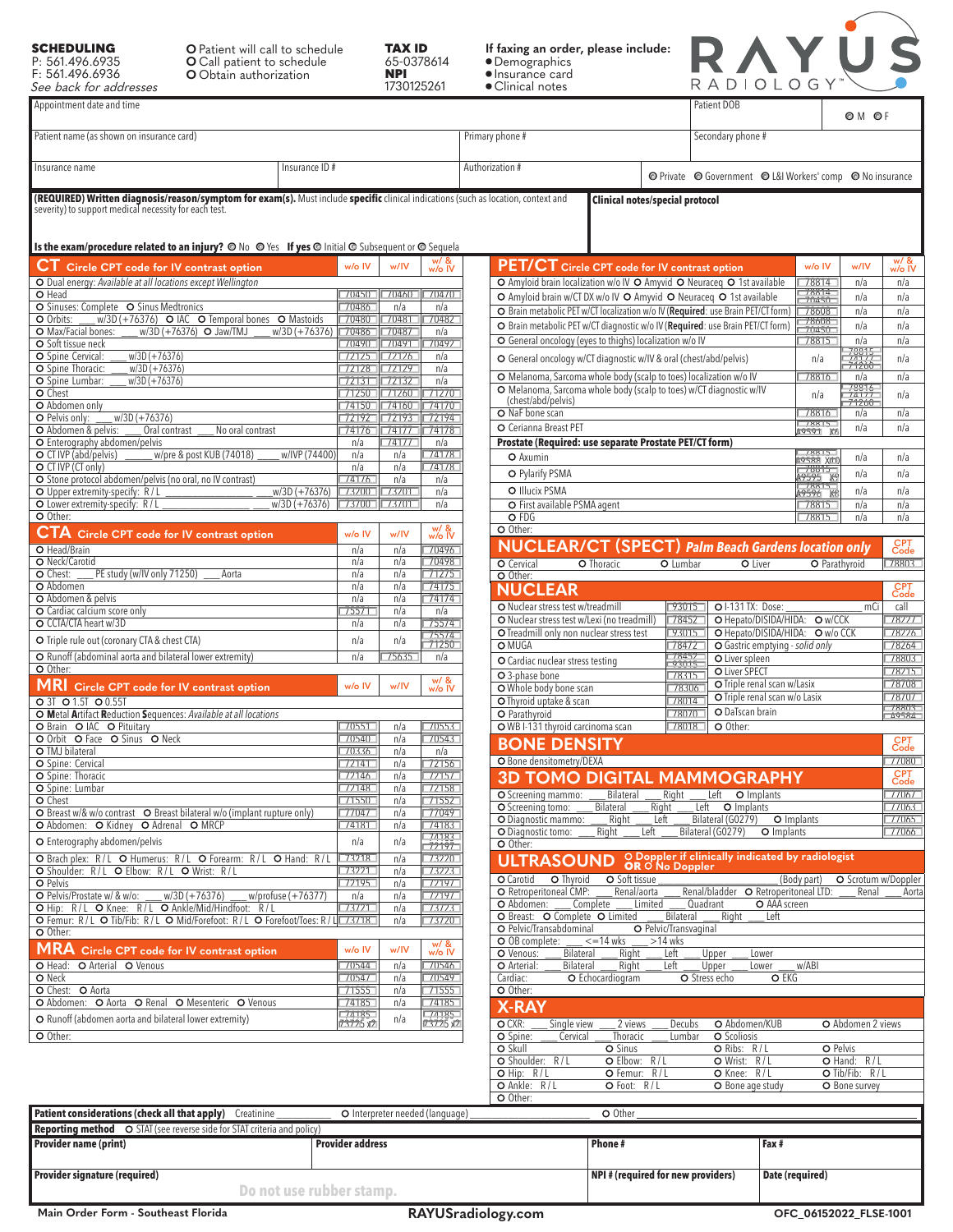|  | SCHEDULING      |
|--|-----------------|
|  | P: 561.496.6935 |

**O** Patient will call to schedule **O** Call patient to schedule **O** Obtain authorization

TAX ID 65-0378614 NPI 1730125261

**If faxing an order, please include:** • Demographics

• Insurance card<br>• Clinical notes



| Appointment date and time                                                                                                                                                    |                |                |                                                             | Patient DOB                                                                                                                                                     | OM OF                                                     |  |  |  |
|------------------------------------------------------------------------------------------------------------------------------------------------------------------------------|----------------|----------------|-------------------------------------------------------------|-----------------------------------------------------------------------------------------------------------------------------------------------------------------|-----------------------------------------------------------|--|--|--|
| Patient name (as shown on insurance card)                                                                                                                                    |                |                |                                                             | Primary phone #<br>Secondary phone #                                                                                                                            |                                                           |  |  |  |
|                                                                                                                                                                              |                |                |                                                             |                                                                                                                                                                 |                                                           |  |  |  |
| Insurance ID#<br>Insurance name                                                                                                                                              |                |                |                                                             | Authorization #                                                                                                                                                 | © Private © Government © L&I Workers' comp © No insurance |  |  |  |
| (REQUIRED) Written diagnosis/reason/symptom for exam(s). Must include specific clinical indications (such as location, context and<br><b>Clinical notes/special protocol</b> |                |                |                                                             |                                                                                                                                                                 |                                                           |  |  |  |
| severity) to support medical necessity for each test.                                                                                                                        |                |                |                                                             |                                                                                                                                                                 |                                                           |  |  |  |
|                                                                                                                                                                              |                |                |                                                             |                                                                                                                                                                 |                                                           |  |  |  |
| Is the exam/procedure related to an injury? $\bigcirc$ No $\bigcirc$ Yes If yes $\bigcirc$ Initial $\bigcirc$ Subsequent or $\bigcirc$ Sequela                               |                |                |                                                             |                                                                                                                                                                 |                                                           |  |  |  |
| CT Circle CPT code for IV contrast option                                                                                                                                    | w/o IV         | w/IV           | w/ &<br>w/o IV                                              | <b>PET/CT</b> Circle CPT code for IV contrast option<br>w/o IV                                                                                                  | w/ &<br>w/o IV<br>w/IV                                    |  |  |  |
| O Dual energy: Available at all locations except Wellington<br>O Head                                                                                                        |                | 70450<br>70460 | 70470                                                       | O Amyloid brain localization w/o IV O Amyvid O Neuraceg O 1st available<br>/8814<br>78814<br>O Amyloid brain w/CT DX w/o IV O Amyvid O Neuraceg O 1st available | n/a<br>n/a<br>n/a<br>n/a                                  |  |  |  |
| O Sinuses: Complete O Sinus Medtronics                                                                                                                                       |                | n/a            | n/a                                                         | 70450<br>O Brain metabolic PET w/CT localization w/o IV (Required: use Brain PET/CT form)<br>78608                                                              | n/a<br>n/a                                                |  |  |  |
| $w/3D$ (+76376) O IAC O Temporal bones O Mastoids<br>O Orbits:                                                                                                               | 70480          | 70481          | 70482                                                       | 78608<br>O Brain metabolic PET w/CT diagnostic w/o IV (Required: use Brain PET/CT form)<br>70450                                                                | n/a<br>n/a                                                |  |  |  |
| O Max/Facial bones:<br>w/3D (+76376) O Jaw/TMJ<br>$w/3D (+76376)$<br>O Soft tissue neck                                                                                      | 70486<br>70490 | 70487<br>70491 | n/a<br>/0497                                                | O General oncology (eyes to thighs) localization w/o IV<br>78815                                                                                                | n/a<br>n/a                                                |  |  |  |
| O Spine Cervical:<br>w/3D (+76376)                                                                                                                                           | 72125          | 177126         | n/a                                                         | O General oncology w/CT diagnostic w/IV & oral (chest/abd/pelvis)<br>n/a                                                                                        | 78815<br>74177<br><del>71260</del><br>n/a                 |  |  |  |
| O Spine Thoracic:<br>w/3D (+76376)<br>O Spine Lumbar:<br>$w/3D (+76376)$                                                                                                     | 72128<br>77131 | 77779<br>77132 | n/a<br>n/a                                                  | O Melanoma, Sarcoma whole body (scalp to toes) localization w/o IV<br>78816                                                                                     | n/a<br>n/a                                                |  |  |  |
| O Chest                                                                                                                                                                      | 71250          | 71260          | 71270                                                       | O Melanoma, Sarcoma whole body (scalp to toes) w/CT diagnostic w/IV<br>n/a                                                                                      | 78816<br>74177<br>71260<br>n/a                            |  |  |  |
| O Abdomen only                                                                                                                                                               | 74150          | 14160          | 74170                                                       | (chest/abd/pelvis)<br>78816<br>O NaF bone scan                                                                                                                  | n/a<br>n/a                                                |  |  |  |
| $w/3D (+76376)$<br>O Pelvis only:<br>O Abdomen & pelvis:<br>Oral contrast<br>No oral contrast                                                                                | 72192<br>74176 | 72193<br>14177 | 72194<br>74178                                              | בלואאי<br>אל ודפלפה<br>O Cerianna Breast PET                                                                                                                    | n/a<br>n/a                                                |  |  |  |
| O Enterography abdomen/pelvis                                                                                                                                                | n/a            | /41/7          | n/a                                                         | Prostate (Required: use separate Prostate PET/CT form)                                                                                                          |                                                           |  |  |  |
| O CT IVP (abd/pelvis)<br>w/pre & post KUB (74018)<br>w/IVP (74400)                                                                                                           | n/a            | n/a            | 74178                                                       | ַ בַּדְאֲאֶלִ<br>חֲחָ <u>ּלְ</u> אֲלֹפָת<br>O Axumin                                                                                                            | n/a<br>n/a                                                |  |  |  |
| O CT IVP (CT only)<br>O Stone protocol abdomen/pelvis (no oral, no IV contrast)                                                                                              | n/a<br>141/6   | n/a<br>n/a     | 741/8<br>n/a                                                | 176615<br>19595 K9<br>O Pylarify PSMA                                                                                                                           | n/a<br>n/a                                                |  |  |  |
| O Upper extremity-specify: R/L<br>w/3D (+76376)                                                                                                                              | 73200          | 73201          | n/a                                                         | EZIRRTI<br>GY GOOD<br>O Illucix PSMA                                                                                                                            | n/a<br>n/a                                                |  |  |  |
| $w/3D (+76376)$<br>O Lower extremity-specify: R/L                                                                                                                            |                | 73/00<br>73/01 | n/a                                                         | O First available PSMA agent<br>78815                                                                                                                           | n/a<br>n/a                                                |  |  |  |
| O Other:                                                                                                                                                                     |                |                |                                                             | 78815<br>O FDG                                                                                                                                                  | n/a<br>n/a                                                |  |  |  |
| CTA Circle CPT code for IV contrast option                                                                                                                                   | w/o IV         | w/IV           | $W/$ &<br>$W/$ o IV                                         | O Other:                                                                                                                                                        |                                                           |  |  |  |
| O Head/Brain<br>O Neck/Carotid                                                                                                                                               | n/a<br>n/a     | n/a<br>n/a     | 70496<br>70498                                              | <b>NUCLEAR/CT (SPECT)</b> Palm Beach Gardens location only                                                                                                      | CPT<br>Code                                               |  |  |  |
| PE study (w/IV only 71250)<br>O Chest:<br>Aorta                                                                                                                              | n/a            | n/a            | 712/5                                                       | O Cervical<br>O Thoracic<br>O Liver<br>O Lumbar<br>O Parathyroid<br>O Other:                                                                                    | 78803                                                     |  |  |  |
| O Abdomen                                                                                                                                                                    | n/a            | n/a            | 741/5                                                       | <b>NUCLEAR</b>                                                                                                                                                  | CPT<br>Code                                               |  |  |  |
| O Abdomen & pelvis<br>O Cardiac calcium score only                                                                                                                           | n/a<br>755/1   | n/a<br>n/a     | 741/4<br>n/a                                                | O Nuclear stress test w/treadmill<br>O I-131 TX: Dose:<br>93015                                                                                                 | mCi<br>call                                               |  |  |  |
| O CCTA/CTA heart w/3D                                                                                                                                                        | n/a            | n/a            | 155/4                                                       | O Nuclear stress test w/Lexi (no treadmill)<br>O Hepato/DISIDA/HIDA: O w/CCK<br>78457                                                                           | 78777                                                     |  |  |  |
| O Triple rule out (coronary CTA & chest CTA)                                                                                                                                 | n/a            | n/a            | 155/4                                                       | O Hepato/DISIDA/HIDA: O w/o CCK<br>O Treadmill only non nuclear stress test<br>93015                                                                            | 78226                                                     |  |  |  |
| O Runoff (abdominal aorta and bilateral lower extremity)                                                                                                                     |                | 75635          | 71750<br>n/a                                                | O MUGA<br>784/7<br>O Gastric emptying - solid only<br>।78452<br>⊢93015<br>O Liver spleen<br>O Cardiac nuclear stress testing                                    | 78264<br>78803                                            |  |  |  |
| O Other:                                                                                                                                                                     | n/a            |                |                                                             | O Liver SPECT<br>O 3-phase bone<br>78315                                                                                                                        | 78215                                                     |  |  |  |
| MRI Circle CPT code for IV contrast option                                                                                                                                   |                | w/IV           | $w/$ &<br>$w/$ o IV                                         | O Triple renal scan w/Lasix<br>78306<br>O Whole body bone scan                                                                                                  | 78/08                                                     |  |  |  |
| O 3T O 1.5T O 0.55T                                                                                                                                                          |                |                |                                                             | O Triple renal scan w/o Lasix<br>O Thyroid uptake & scan<br>78014                                                                                               | 78707<br>78803                                            |  |  |  |
| O DaTscan brain<br>78070<br>O Metal Artifact Reduction Sequences: Available at all locations<br>O Parathyroid                                                                |                |                |                                                             |                                                                                                                                                                 | A9584                                                     |  |  |  |
| O Brain O IAC O Pituitary<br>O Orbit O Face O Sinus O Neck                                                                                                                   | 70551<br>70540 | n/a<br>n/a     | 70553<br>70543                                              | O WB I-131 thyroid carcinoma scan<br>78018<br>O Other:                                                                                                          |                                                           |  |  |  |
| O TMJ bilateral                                                                                                                                                              | 70336          | n/a            | n/a                                                         | <b>BONE DENSITY</b>                                                                                                                                             | CPT<br>Code                                               |  |  |  |
| O Spine: Cervical                                                                                                                                                            | 77141<br>72146 | n/a            | 17156<br>77157                                              | O Bone densitometry/DEXA                                                                                                                                        | 77080                                                     |  |  |  |
| O Spine: Thoracic<br>O Spine: Lumbar                                                                                                                                         | 77148          | n/a<br>n/a     | 77158                                                       | <b>3D TOMO DIGITAL MAMMOGRAPHY</b>                                                                                                                              | CPT<br>Code                                               |  |  |  |
| O Chest                                                                                                                                                                      | 71550          | n/a            | 71552                                                       | O Screening mammo:<br>Bilateral<br>, Right<br>Left O Implants<br>O Screening tomo:<br>Bilateral<br>Left O Implants<br>Right                                     | $\left[ 77067 \right]$<br>77063                           |  |  |  |
| O Breast w/& w/o contrast O Breast bilateral w/o (implant rupture only)                                                                                                      | 1/104/         | n/a            | 77049                                                       | Bilateral (G0279)<br>O Diagnostic mammo:<br>Right<br>Left<br>O Implants                                                                                         | 1/1065                                                    |  |  |  |
| O Abdomen: O Kidney O Adrenal O MRCP                                                                                                                                         | 74181          | n/a            | 74183                                                       | O Diagnostic tomo:<br>Bilateral (G0279)<br>O Implants<br>Right<br>Left                                                                                          | 77066                                                     |  |  |  |
| O Enterography abdomen/pelvis                                                                                                                                                | n/a            | n/a            | $\begin{array}{r} \hline 74183 \\ \hline 72197 \end{array}$ | O Other:                                                                                                                                                        |                                                           |  |  |  |
| O Brach plex: R/L O Humerus: R/L O Forearm: R/L O Hand: R/L<br>O Shoulder: R/L O Elbow: R/L O Wrist: R/L                                                                     | 73718<br>73221 | n/a<br>n/a     | 73220<br>73223                                              | O Doppler if clinically indicated by radiologist<br>OR O No Doppler<br><b>ULTRASOUND</b>                                                                        |                                                           |  |  |  |
| O Pelvis                                                                                                                                                                     | 72195          | n/a            | 77191                                                       | O Carotid O Thyroid<br>O Soft tissue<br>(Body part)                                                                                                             | O Scrotum w/Doppler                                       |  |  |  |
| O Pelvis/Prostate w/ & w/o:<br>$W/3D (+76376)$<br>w/profuse $(+76377)$                                                                                                       | n/a            | n/a            | 77191                                                       | Renal/bladder O Retroperitoneal LTD:<br>O Retroperitoneal CMP:<br>Renal/aorta<br>O Abdomen:<br>Complete<br>O AAA screen<br>Limited<br>Quadrant                  | Renal<br>Aorta                                            |  |  |  |
| O Hip: R/L O Knee: R/L O Ankle/Mid/Hindfoot: R/L<br>O Femur: R/L O Tib/Fib: R/L O Mid/Forefoot: R/L O Forefoot/Toes: R/L 73718                                               | $-73721$       | n/a<br>n/a     | 73773<br>73720                                              | Bilateral<br>O Breast: O Complete O Limited<br>Right<br>Left                                                                                                    |                                                           |  |  |  |
| O Pelvic/Transabdominal<br>O Pelvic/Transvaginal<br>O Other:                                                                                                                 |                |                |                                                             |                                                                                                                                                                 |                                                           |  |  |  |
| MRA Circle CPT code for IV contrast option                                                                                                                                   | w/o IV         | w/IV           | $w/8$<br>$w/6$ IV                                           | O OB complete:<br>$\epsilon$ = 14 wks<br>$>14$ wks<br>O Venous:<br>Bilateral<br>Right<br>Left<br>Upper<br>Lower                                                 |                                                           |  |  |  |
| O Head: O Arterial O Venous                                                                                                                                                  | 70544          | n/a            | 70546                                                       | O Arterial:<br>Left<br>Upper<br>w/ABI<br>Bilateral<br>Right<br>Lower                                                                                            |                                                           |  |  |  |
| O Neck                                                                                                                                                                       | 70547          | n/a            | 70549                                                       | O EKG<br>Cardiac:<br>O Echocardiogram<br>O Stress echo                                                                                                          |                                                           |  |  |  |
| O Chest: O Aorta<br>O Abdomen: O Aorta O Renal O Mesenteric O Venous                                                                                                         | 71555<br>74185 | n/a<br>n/a     | 71555<br>74185                                              | O Other:                                                                                                                                                        |                                                           |  |  |  |
| O Runoff (abdomen aorta and bilateral lower extremity)                                                                                                                       | 74185          | n/a            | 74185                                                       | <b>X-RAY</b>                                                                                                                                                    |                                                           |  |  |  |
| O Other:                                                                                                                                                                     | 73725 y2       |                | 73725 x2                                                    | O CXR:<br>O Abdomen/KUB<br>Single view<br>2 views<br>Decubs<br>O Spine:<br>Cervical<br>Thoracic<br>Lumbar<br>O Scoliosis                                        | O Abdomen 2 views                                         |  |  |  |
|                                                                                                                                                                              |                |                |                                                             | O Skull<br>$\overline{O}$ Sinus<br>O Ribs: R/L<br>O Pelvis                                                                                                      |                                                           |  |  |  |
|                                                                                                                                                                              |                |                |                                                             | O Elbow: R/L<br>O Shoulder: R/L<br>O Wrist: R/L<br>O Hand: R/L                                                                                                  |                                                           |  |  |  |
|                                                                                                                                                                              |                |                |                                                             | O Femur: R/L<br>O Knee: R/L<br>O Tib/Fib: R/L<br>$O$ Hip: $R/L$                                                                                                 |                                                           |  |  |  |

**Provider name (print) Provider address Provider address Phone # Phone # Fax # Fax # Phone # Fax # Phone # Fax # Phone # Phone # Phone # Phone # Phone # Phone # Phone # Phone # Phone # Provider signature (required) Date (required) Date (required) NPI** # (required for new providers) Date (required) **Do not use rubber stamp.** Patient considerations (check all that apply) Creatinine \_\_\_\_\_\_\_\_\_\_\_\_ O Interpreter needed (language) \_\_\_\_\_\_\_\_\_\_\_\_\_\_\_\_\_\_\_\_\_ O Other **Reporting method**  $\circ$  STAT (see reverse side for STAT criteria and policy)

O Other:

O Foot: R/L C Bone age study O Bone survey